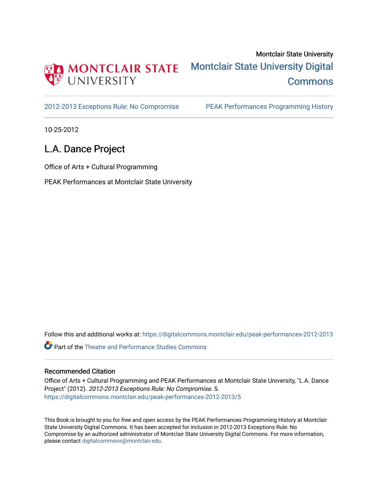

[2012-2013 Exceptions Rule: No Compromise](https://digitalcommons.montclair.edu/peak-performances-2012-2013) PEAK Performances Programming History

10-25-2012

## L.A. Dance Project

Office of Arts + Cultural Programming

PEAK Performances at Montclair State University

Follow this and additional works at: [https://digitalcommons.montclair.edu/peak-performances-2012-2013](https://digitalcommons.montclair.edu/peak-performances-2012-2013?utm_source=digitalcommons.montclair.edu%2Fpeak-performances-2012-2013%2F5&utm_medium=PDF&utm_campaign=PDFCoverPages) 

Part of the [Theatre and Performance Studies Commons](http://network.bepress.com/hgg/discipline/552?utm_source=digitalcommons.montclair.edu%2Fpeak-performances-2012-2013%2F5&utm_medium=PDF&utm_campaign=PDFCoverPages) 

## Recommended Citation

Office of Arts + Cultural Programming and PEAK Performances at Montclair State University, "L.A. Dance Project" (2012). 2012-2013 Exceptions Rule: No Compromise. 5. [https://digitalcommons.montclair.edu/peak-performances-2012-2013/5](https://digitalcommons.montclair.edu/peak-performances-2012-2013/5?utm_source=digitalcommons.montclair.edu%2Fpeak-performances-2012-2013%2F5&utm_medium=PDF&utm_campaign=PDFCoverPages) 

This Book is brought to you for free and open access by the PEAK Performances Programming History at Montclair State University Digital Commons. It has been accepted for inclusion in 2012-2013 Exceptions Rule: No Compromise by an authorized administrator of Montclair State University Digital Commons. For more information, please contact [digitalcommons@montclair.edu.](mailto:digitalcommons@montclair.edu)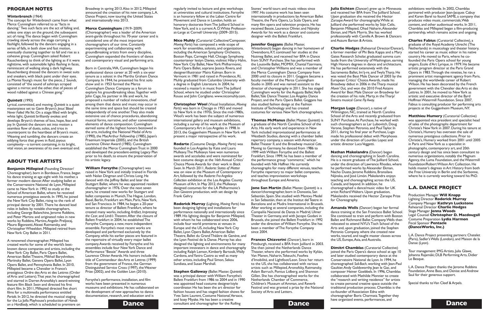regularly invited to lecture and give workshops at universities and cultural institutions. Forsythe is an honorary fellow at the Laban Centre for Movement and Dance in London, holds an honorary doctorate fromThe Juilliard School in New York, and is a current A. D. White Professorat-Large at Cornell University (2009–2015).

**Nico Muhly** (Curatorial Collective/Composer, *Moving Parts*) has composed a wide scope of work for ensembles, soloists, and organizations, including the American Symphony Orchestra, Boston Pops, Carnegie Hall, Chicago Symphony, countertenor Iestyn Davies, violinist Hilary Hahn, New York City Ballet, New York Philharmonic, Paris Opera Ballet, soprano Jessica Rivera, and designer/illustrator Maira Kalman. Born in Vermont in 1981 and raised in Providence,RI, Muhly graduated from Columbia University with a degree in English Literature. In 2004, he received a master's in music fromThe Juilliard School, where he studied under Christopher Rouse and John Corigliano. www.nicomuhly.com.

**Christopher Wool** (Visual Installation, *Moving Parts*) was born in Chicago in 1955 and moved to NewYork in the 1970s. Since the mid-1980s, Wool's work has been the subject of numerous international gallery and museum exhibitions, including a survey of his work at the Museum of ContemporaryArt in LosAngeles in 1998. In 2013, the Guggenheim Museum in New York will present a major retrospective of his work.

**Dance Dance Consultant and choreographer for the Rolling Dance Stephen Galloway** (Ballet Master,*Quintett*) was a principal dancer withWilliam Forsythe's Ballett Frankfurt from 1986 to 2004 and in 1990 was appointed head costume designer/style coordinator. He has been the art director for fashion houses and has staged fashion shows for Yves Saint Laurent, Costume National, Versace, and Issey Miyake. He has been a creative

**Rodarte** (Costume Design, *Moving Parts*) was founded in LosAngeles by Kate and Laura Mulleavy.The Mulleavys have won numerous awards and accolades and were nominated for best costume design at the 16th Annual Critics' Choice MovieAwards for their work in *Black Swan*. In March 2011, *Rodarte: States of Matter* was on view at the Museum of Contemporary Art, followed by the *Rodarte: Fra Angelico* **Collection** exhibition at the Los Angeles County Museum of Art. In May 2012, the Mulleavys designed costumes for the LA Philharmonic's *Don Giovanni* production, with set design by Frank Gehry.

**Roderick Murray** (Lighting, *Moving Parts*) has been designing lighting and installations for performance nationally and internationally since 1989. His lighting designs for Benjamin Millepied, with whom he has collaborated since 2006, include four world premieres at venues in Europe and the US, including NewYork City Ballet, Lyon Opera Ballet,American Ballet Theatre, Ballet du GrandThéâtre de Genève, and the Lyon Festival de la Danse. Murray has also designed the lighting and environments for many important innovators in dance and choreography including Ralph Lemon, Kimberly Bartosik, Wally Cardona, andYanira Castro as well as many other artists, including Paul Simon, Sekou Sundiata, and Susan Marshall.

Stones' world tours and music videos since 1997. His costume work has been seen internationally in productions by American Ballet Theatre, the Paris Opera, La Scala Opera, and many film opera and television projects. He has received Bessie, Laurence Olivier, and Nijinsky Awards for his work as a dancer and costume designer with the Ballett Frankfurt.

#### **Jennifer Goggans** (Ballet Master,

*Winterbranch*) began dancing in her hometown of Owensboro,KY, continued her studies at the Nutmeg Ballet, and received her BFA in Dance from SUNY Purchase. She has performed with the Louisville Ballet, MOMIX, Chantal Yzermans, and Christopher Williams and was a member of the Merce Cunningham Dance Company from 2000 until its closure in 2011.Goggans became a faculty member of the Merce Cunningham Studio in 2005 and was named assistant to the director of choreography in 2011. She has staged Cunningham works for theAugusta Ballet,Verb Ballet, Yale Dance Theater, Los Angeles Dance Project, and the Paris Opera Ballet.Goggans has also studied fashion design at the Fashion Institute ofTechnology and has created costumes for various NewYork choreographers.

A renowned choreographer, Millepied has created works for some of the world's bestknown dance companies and artists, including the NewYork City Ballet, Paris Opera Ballet, American Ballet Theatre, Mikhail Baryshnikov, Mariinsky Ballet,Geneva Opera Ballet, Lyon Opera Ballet, and Pennsylvania Ballet. In 2010, Millepied became a Chevalier in France's prestigious Ordre desArts et des Lettres (Order ofArts and Letters).That year, he choreographed and starred in Darren Aronofsky's award-winning feature film *Black Swan* and directed his first short film. In 2011, Millepied directed five short films for a multimedia performance entitled *Portals*. In 2012, he directed the musical staging for the La Jolla Playhouse's production of *Hands on a Hardbody,* which is scheduled to premiere on

Broadway in spring 2013. Also in 2012, Millepied announced the creation of his new company, L.A. Dance Project, now touring the United States and internationally into 2013.

> **Thomas McManus** (Ballet Master,*Quintett*) is a graduate of the North Carolina School of the Arts. His early work and experience in New York included improvisational performances at Westbeth Studios, dancing with a chamber ballet repertory company, a season with American BalletTheater II, and the Broadway musical *Cats*. Moving to Germany, he danced from 1986 to 1999 with William Forsythe and the Ballett Frankfurt. Since 1999, he has been a member of the performance group "commerce," which he founded with Nik Haffner. He currently choreographs for many different venues, teaches Forsythe repertory to major ballet companies, and teaches improvisation workshops throughout Europe andAmerica.

(Choreographer) was a leader of the American avant-garde throughout his 70-year career and is considered one of the most important choreographers of our time. Constantly experimenting and collaborating with groundbreaking artists from every discipline, Cunningham expanded the frontiers of dance and contemporary visual and performing arts.

> **Jone San Martin** (Ballet Master,*Quintett*) is a dancer/choreographer, born in Donostia, San Sebastián, Spain. She studied with Mentxu Medel in San Sebastián, then at the Institut del Teatre in Barcelona and at Mudra International in Brussels. After working at several companies, including the Compañía Nacional de Danza in Madrid, Ulmer Theater in Germany, and with Jacopo Godani in Brussels, she joined the Ballett Frankfurt in 1992 under the direction ofWilliam Forsythe. She has been a member ofThe Forsythe Company since 2004.

**William Forsythe** (Choreographer) was raised in NewYork and initially trained in Florida with Nolan Dingman and Christa Long. He danced with the Joffrey Ballet and later the Stuttgart Ballet, where he was appointed resident choreographer in 1976. Over the next seven years, he created new works for Stuttgart and ballet companies in Munich,The Hague, London, Basel, Berlin, Frankfurt am Main, Paris, New York, and San Francisco. In 1984, he began a 20-year tenure as director of Ballett Frankfurt, where he created many works, including *Artifact*, *Impressing the Czar*, and *Limb's Theorem*.After the closure of Ballett Frankfurt in 2004, he establishedThe Forsythe Company, a new, more independent ensemble. Forsythe's most recent works are developed and performed exclusively by the Company, while his earlier pieces are featured in the repertoire of virtually every major ballet company.Awards received by Forsythe and his ensembles include four NewYork Dance and Performance "Bessie"Awards and three Laurence OlivierAwards. His honors include the title of Commandeur desArts et Lettres (1999) from the government of France, the German Distinguished Service Cross (1997), the Wexner Prize (2002), and the Golden Lion (2010).

**Frances Chiaverini** (Dancer), born in Pittsburgh, received a BFA from Juilliard in 2003. She then joined the Netherlands Dance Theater, where she performed works by Kylián, Van Manen, Naharin,Tekeuchi, Foofwa d'Imobilité, and Lightfoot/Leon. Since her return to the US, she has collaborated with various artists such as Millepied,Aronofsky, Ratmansky, Adam Barruch, Pontus Lidberg, and Shannon Gillen. She has choreographed works for the Netherlands Chamber of Commerce, Children's Museum of Amman, and Reverb Festival and was granted a prize by the National Society of Arts and Letters.

Forsythe's performance, installation, and film works have been presented in numerous museums and exhibitions. He has collaborated on the development of new approaches to dance documentation, research, and education and is

## **PROGRAM NOTES**

#### *Winterbranch* (1964)

The concept for *Winterbranch* came from what Merce Cunningham referred to as "facts in dancing."Two such facts are the act of falling and, unless one stays on the ground, the subsequent act of rising.The dance began with Cunningham crawling slowly across the stage carrying a flashlight, followed by the dancers engaging in a series of falls, in both slow and fast motion, eventually clustering together to fall and rise as a cohesive group. Cunningham asked Robert Rauschenberg to think of the lighting as if it were nighttime, with automobile lights flashing in faces, reminiscent of walking along a dark highway. Rauschenberg dressed the dancers in sweat suits and sneakers, with black paint under their eyes. La Monte Young's music for the piece, 2 Sounds, consisted of "the sound of ashtrays scraped against a mirror, and the other, that of pieces of wood rubbed against a Chinese gong."

#### *Quintett* (1993)

**Amanda Wells** (Dancer) began her formal dance training at the San Francisco Ballet School. She continued to train and perform with Boston Ballet and Richmond Ballet Company.Wells then relocated to attend NYU's Tisch School of the Arts and, upon graduation, joined the Stephen Petronio Company, where she created new works, toured, and taught master classes across the US, Europe, Asia, and Australia.

Lyrical, committed, and moving,*Quintett* is a quiet masterpiece set to Gavin Bryars's *Jesus' Blood Never Failed MeYet*. On a stage filled with bright, white light,*Quintett* brilliantly evokes and develops Bryars's themes of loss, hope, fear, and joy. In *Quintett* the dancers set into motion a seamless flow of duets, solos, and trios in counterpoint to the heartbeat of Bryars's music. Weaving and tumbling, the dancers create an eddying force that grows in fluid, joyous complexity—a torrent containing, in its bright, vital vision, an awareness of its own eventual end.

## **ABOUT THE ARTISTS**

**Benjamin Millepied** (Founding Director/ Choreographer), born in Bordeaux, France, began his dance training at age eight with his mother, a former modern dancer.After studying ballet at the Conservatoire National de Lyon, Millepied came to NewYork in 1992 to study at the School of American Ballet, where he received numerous prestigious awards. In 1995, he joined the New York City Ballet, rising to the rank of principal dancer by 2001.There he danced lead roles in ballets by notable choreographers, including George Balanchine, Jerome Robbins, and Peter Martins and originated roles in new works by Robbins, Martins, Angelin Preljocaj, Mauro Bigonzetti,Alexei Ratmansky, and ChristopherWheeldon.Millepied retired from NewYork City Ballet in 2011.

#### **Merce Cunningham** (1919–2009)

Born in Centralia,WA, Cunningham began his professional dance career at 20 with a six-year tenure as a soloist in the Martha Graham Dance Company. In 1944, he presented his first solo show and in 1953 formed the Merce Cunningham Dance Company as a forum to explore his groundbreaking ideas.Together with John Cage, his partner in life and work, he proposed a number of radical innovations, chief among them that dance and music may occur in the same time and space but should be created independently of one another.They also made extensive use of chance procedures, abandoning musical forms, narrative, and other conventional elements of dance composition. Cunningham earned some of the highest honors bestowed in the arts, including the National Medal ofArts (1990), the MacArthur Fellowship (1985), Japan's Praemium Imperiale (2005), and the British Laurence Olivier Award (1985). Cunningham established the Merce CunninghamTrust in 2000 and developed the precedent-setting Legacy Plan prior to his death, to ensure the preservation of his artistic legacy.

**Julia Eichten** (Dancer) grew up in Minnesota and received her BFA fromThe Juilliard School. Upon graduation she received the Hector ZaraspeAward for choreography.While at Juilliard she performed works by Stijn Celis, Benjamin Millepied, Ohad Naharin, Alexander Ekman, and Mark Morris. She has worked professionally with CamilleA. Brown & Dancers andAszure Barton &Artists.

**Charlie Hodges** (Rehearsal Director/Dancer), a former member of Phi Beta Kappa and a Mary Gates Research Scholar, graduated summa cum laude from the University ofWashington, earning High Honors degrees in dance and architecture. He has performed extensively with the Sacramento Ballet, Im'ij-re, andTwylaTharp. He was voted the Best Male Dancer of 2003 by the European Critics' Choice Awards, made his Broadway debut in 2006 in theTharp musical *Movin'Out,* and won the 2010 FredAstaire Award for Best Male Dancer on Broadway for the creation of his role, Marty, in the Tharp/ Sinatra musical *Come Fly Away.*

**Morgan Lugo** (Dancer), a native of Wilmington, NC, trained at North Carolina School of the Arts and recently graduated from SUNY Purchase.At Purchase, he worked with such choreographers as Lar Lubovitch, Doug Varone, Stephen Petronio, and PaulTaylor. In 2011, during his final year at Purchase, Lugo made his professional debut with Morphoses under the direction of Lourdes Lopez and artistic director LucaVeggetti.

**Nathan Makolandra** (Dancer) began dancing and choreographing in South Carolina. He is a recent graduate of The Juilliard School, under the direction of Lawrence Rhodes, where he performed works by Alexander Ekman, Nacho Duato, Jerome Robbins, Bronsilava Nijinska, and José Limón.Makolandra enjoys teaching and choreographing across the US, Canada, and beyond. In addition, he choreographed a dance/music video for UK artist RichardWalters. Upon graduation, Makolandra received the Hector Zaraspe Prize for Choreography.

**Dimitri Chamblas** (Curatorial Collective) joined the Paris Opera's dance school at age 10 and later studied contemporary dance at the Conservatoire National de Lyon. In 1994, he choreographed *Soli-Bach*, working with Jean-Paul Gaultier,Andy Goldsworthy, Jean le Gac, and composer Heiner Goebbels. In 1996, Chamblas collaborated with Mathilde Monnier to create the "research and writing residence" for artists to create personal creative space outside the traditional production process. Chamblas is the co-founder ofAssociation Edna with choreographer Boris Charmatz.Together they have organized events, performances, and

exhibitions worldwide. In 2002, Chamblas partnered with producer Jean-Jacques Cabuy and Karen Barel to found SAME, a company that produces video music, commercials,Web content, and other audiovisual works. In 2011, Chamblas and Millepied began a film-producing partnership, which remains active and ongoing.

**Charles Fabius** (Curatorial Collective), a graduate of the RoyalAcademy Utrecht (The Netherlands) in musicology and theater history, started his career as music editor in his native country. He moved to Paris, where he cofounded the Paris Opera school for young singers, Ecole d'Art Lyrique, in 1979. He became artistic program director at the Paris Grand Opera in 1983.Through the nineties, he ran a prominent artist management agency from Paris, managing the worldwide career of Robert Wilson. He has been decorated by the French government with the Chevalier desArts et des Lettres. In 2001, he moved to New York as artistic and executive director of the Byrd Hoffman Watermill Foundation. Since 2007, Fabius is consulting producer for performing arts projects at the Guggenheim Museum,NY.

**Matthieu Humery** (Curatorial Collective) was appointed vice president and specialist head of sales of the photographs department for Christie's NewYork in 2007.During his tenure at Christie's, Humery has overseen the sale of numerous prestigious collections. Prior to Christie's, Humery worked from 2001 until 2005 in Paris and New York as a specialist in photographs, contemporary art, and 20th century design and has since been consultant to numerous organizations, notably the Magnum Agency, the Luma Foundation, and the Watermill Foundation/Robert Wilson Art Collection. He holds master's degrees inArt History from both the Free University in Berlin and the Sorbonne, where he is currently working toward his PhD.

## **L.A. DANCE PROJECT**

Production Manager **Will Knapp** Lighting Director **Roderick Murray** Company Manager **Kathryn Luckstone** Rehearsal Director **Charlie Hodges** Stage Manager **Jenna Woods** Legal Counsel **Christopher D. Macdougall** Costume Preparation **Lydia Harmon** Fiscal Sponsor **Pentacle (DanceWorks, Inc.)**

L.A.Dance Project presenting partners: Chatelet (Paris), Sadler's Wells (London), and Maison de la Danse (Lyon).

Tour management: IMGArtists, Julia Glawe, Johanna Rajamäki; DLB Performing Arts, Didier Le Besque.

L.A.Dance Project thanks the Jerome Robbins Foundation, Anne Bass, and Denise and Andrew Saul for their generous support.

Special thanks to Van Cleef & Arpels.